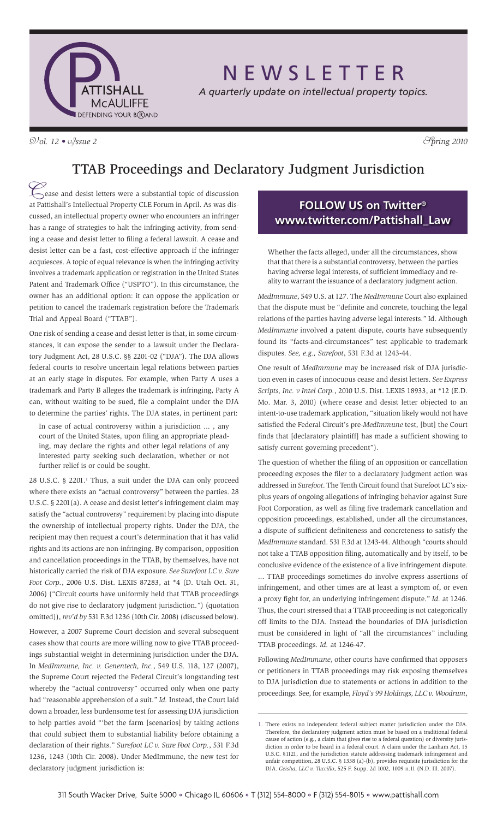

# N E W S L E T T E R

*A quarterly update on intellectual property topics.*

 $\mathcal{D}/\mathcal{O}l$ . 12 •  $\mathcal{O}/\mathcal{S}$ *sue 2*  $\mathcal{S}/\mathcal{O}l$ 

### TTAB Proceedings and Declaratory Judgment Jurisdiction

Cease and desist letters were a substantial topic of discussion at Pattishall's Intellectual Property CLE Forum in April. As was discussed, an intellectual property owner who encounters an infringer has a range of strategies to halt the infringing activity, from sending a cease and desist letter to filing a federal lawsuit. A cease and desist letter can be a fast, cost-effective approach if the infringer acquiesces. A topic of equal relevance is when the infringing activity involves a trademark application or registration in the United States Patent and Trademark Office ("USPTO"). In this circumstance, the owner has an additional option: it can oppose the application or petition to cancel the trademark registration before the Trademark Trial and Appeal Board ("TTAB").

One risk of sending a cease and desist letter is that, in some circumstances, it can expose the sender to a lawsuit under the Declaratory Judgment Act, 28 U.S.C. §§ 2201-02 ("DJA"). The DJA allows federal courts to resolve uncertain legal relations between parties at an early stage in disputes. For example, when Party A uses a trademark and Party B alleges the trademark is infringing, Party A can, without waiting to be sued, file a complaint under the DJA to determine the parties' rights. The DJA states, in pertinent part:

In case of actual controversy within a jurisdiction ... , any court of the United States, upon filing an appropriate pleading, may declare the rights and other legal relations of any interested party seeking such declaration, whether or not further relief is or could be sought.

28 U.S.C. § 2201.<sup>1</sup> Thus, a suit under the DJA can only proceed where there exists an "actual controversy" between the parties. 28 U.S.C. § 2201(a). A cease and desist letter's infringement claim may satisfy the "actual controversy" requirement by placing into dispute the ownership of intellectual property rights. Under the DJA, the recipient may then request a court's determination that it has valid rights and its actions are non-infringing. By comparison, opposition and cancellation proceedings in the TTAB, by themselves, have not historically carried the risk of DJA exposure. *See Surefoot LC v. Sure Foot Corp.*, 2006 U.S. Dist. LEXIS 87283, at \*4 (D. Utah Oct. 31, 2006) ("Circuit courts have uniformly held that TTAB proceedings do not give rise to declaratory judgment jurisdiction.") (quotation omitted)), *rev'd by* 531 F.3d 1236 (10th Cir. 2008) (discussed below).

However, a 2007 Supreme Court decision and several subsequent cases show that courts are more willing now to give TTAB proceedings substantial weight in determining jurisdiction under the DJA. In *MedImmune, Inc. v. Genentech, Inc.*, 549 U.S. 118, 127 (2007), the Supreme Court rejected the Federal Circuit's longstanding test whereby the "actual controversy" occurred only when one party had "reasonable apprehension of a suit." *Id.* Instead, the Court laid down a broader, less burdensome test for assessing DJA jurisdiction to help parties avoid "'bet the farm [scenarios] by taking actions that could subject them to substantial liability before obtaining a declaration of their rights." *Surefoot LC v. Sure Foot Corp.*, 531 F.3d 1236, 1243 (10th Cir. 2008). Under MedImmune, the new test for declaratory judgment jurisdiction is:

### **FOLLOW US on Twitter® www.twitter.com/Pattishall\_Law**

Whether the facts alleged, under all the circumstances, show that that there is a substantial controversy, between the parties having adverse legal interests, of sufficient immediacy and reality to warrant the issuance of a declaratory judgment action.

*MedImmune*, 549 U.S. at 127. The *MedImmune* Court also explained that the dispute must be "definite and concrete, touching the legal relations of the parties having adverse legal interests." Id. Although *MedImmune* involved a patent dispute, courts have subsequently found its "facts-and-circumstances" test applicable to trademark disputes. *See, e.g., Surefoot*, 531 F.3d at 1243-44.

One result of *MedImmune* may be increased risk of DJA jurisdiction even in cases of innocuous cease and desist letters. *See Express Scripts, Inc. v Intel Corp.*, 2010 U.S. Dist. LEXIS 18933, at \*12 (E.D. Mo. Mar. 3, 2010) (where cease and desist letter objected to an intent-to-use trademark application, "situation likely would not have satisfied the Federal Circuit's pre-*MedImmune* test, [but] the Court finds that [declaratory plaintiff] has made a sufficient showing to satisfy current governing precedent").

The question of whether the filing of an opposition or cancellation proceeding exposes the filer to a declaratory judgment action was addressed in *Surefoot*. The Tenth Circuit found that Surefoot LC's sixplus years of ongoing allegations of infringing behavior against Sure Foot Corporation, as well as filing five trademark cancellation and opposition proceedings, established, under all the circumstances, a dispute of sufficient definiteness and concreteness to satisfy the *MedImmune* standard. 531 F.3d at 1243-44. Although "courts should not take a TTAB opposition filing, automatically and by itself, to be conclusive evidence of the existence of a live infringement dispute. ... TTAB proceedings sometimes do involve express assertions of infringement, and other times are at least a symptom of, or even a proxy fight for, an underlying infringement dispute." *Id.* at 1246. Thus, the court stressed that a TTAB proceeding is not categorically off limits to the DJA. Instead the boundaries of DJA jurisdiction must be considered in light of "all the circumstances" including TTAB proceedings. *Id.* at 1246-47.

Following *MedImmune*, other courts have confirmed that opposers or petitioners in TTAB proceedings may risk exposing themselves to DJA jurisdiction due to statements or actions in addition to the proceedings. See, for example, *Floyd's 99 Holdings, LLC v. Woodrum*,

<sup>1.</sup> There exists no independent federal subject matter jurisdiction under the DJA. Therefore, the declaratory judgment action must be based on a traditional federal cause of action (e.g., a claim that gives rise to a federal question) or diversity jurisdiction in order to be heard in a federal court. A claim under the Lanham Act, 15 U.S.C. §1121, and the jurisdiction statute addressing trademark infringement and unfair competition, 28 U.S.C. § 1338 (a)-(b), provides requisite jurisdiction for the DJA. *Geisha, LLC v. Tuccillo*, 525 F. Supp. 2d 1002, 1009 n.11 (N.D. Ill. 2007).